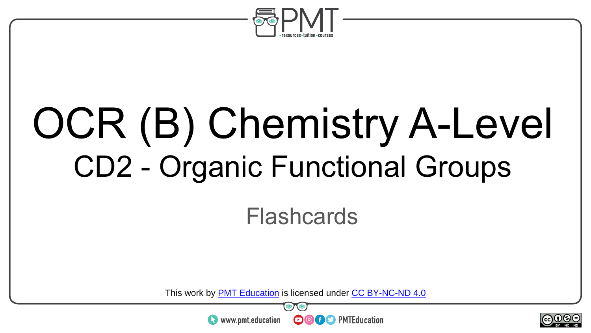

# OCR (B) Chemistry A-Level CD2 - Organic Functional Groups

**Flashcards** 

This work by <u>PMT Education</u> is licensed under CC BY-NC-ND 4.0<br>
www.pmt.education **in the CO CO** PMTEducation



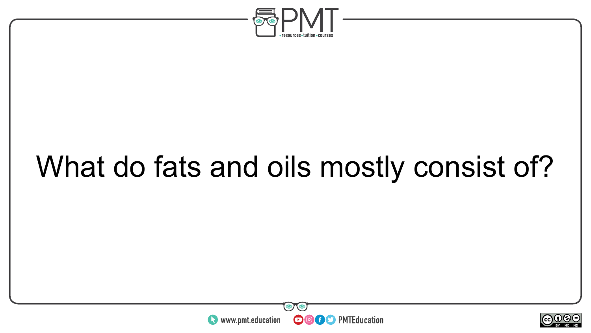

### What do fats and oils mostly consist of?



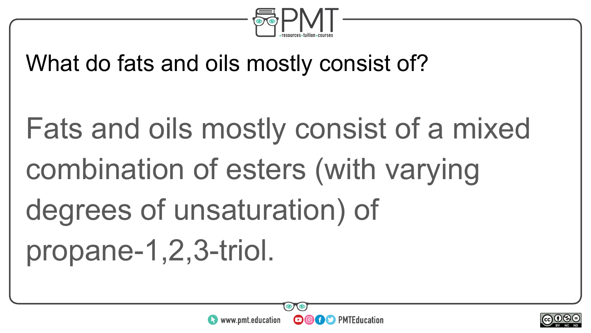

What do fats and oils mostly consist of?

Fats and oils mostly consist of a mixed combination of esters (with varying degrees of unsaturation) of propane-1,2,3-triol.

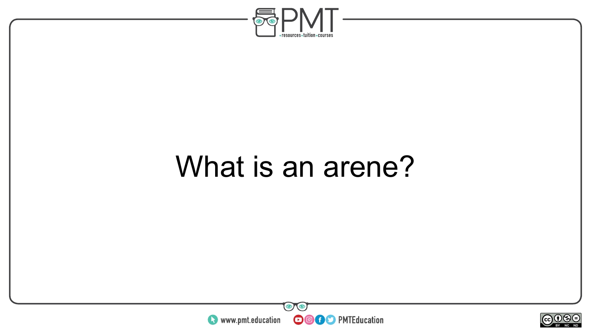

#### What is an arene?



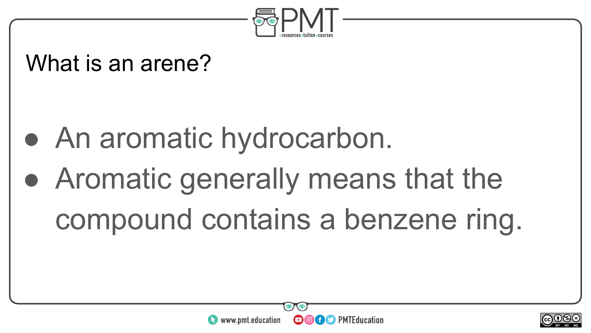

#### What is an arene?

- An aromatic hydrocarbon.
- Aromatic generally means that the compound contains a benzene ring.



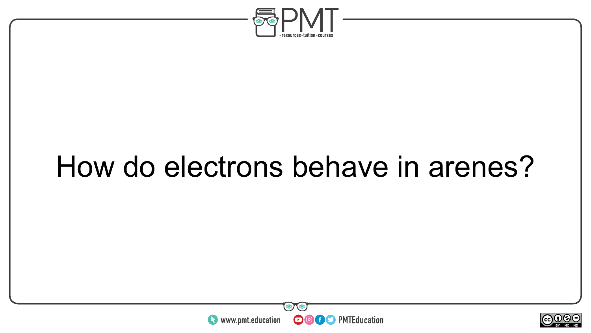

#### How do electrons behave in arenes?



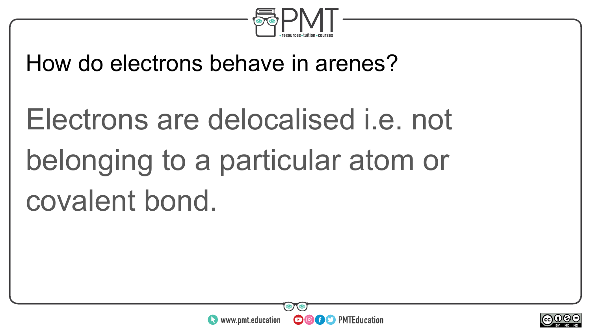

#### How do electrons behave in arenes?

## Electrons are delocalised i.e. not belonging to a particular atom or covalent bond.



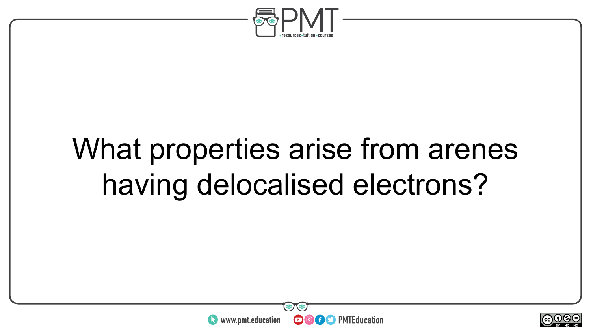

### What properties arise from arenes having delocalised electrons?



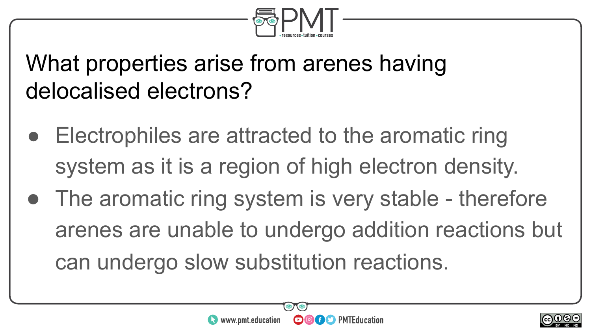

#### What properties arise from arenes having delocalised electrons?

- Electrophiles are attracted to the aromatic ring system as it is a region of high electron density.
- The aromatic ring system is very stable therefore arenes are unable to undergo addition reactions but can undergo slow substitution reactions.



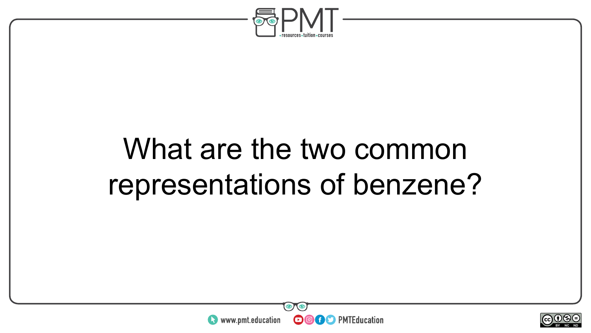

#### What are the two common representations of benzene?



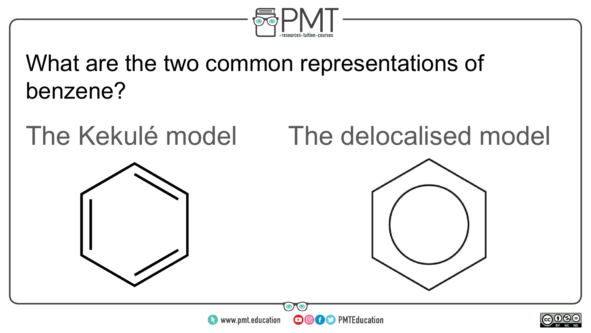

What are the two common representations of benzene?

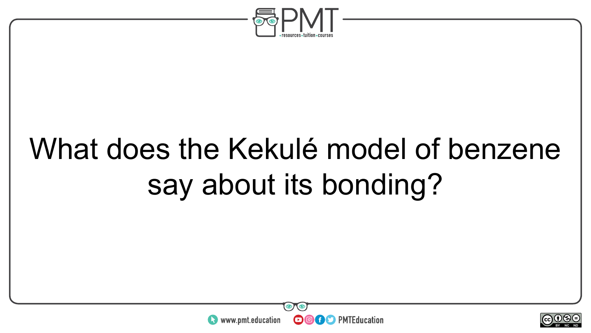

### What does the Kekulé model of benzene say about its bonding?



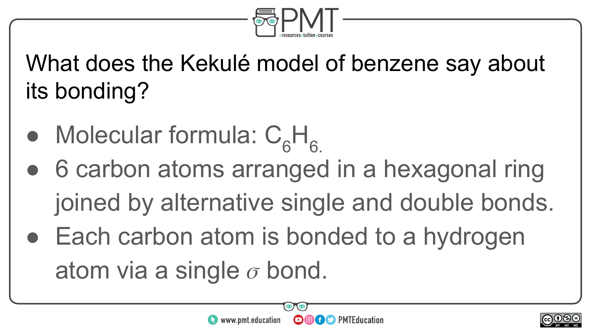

What does the Kekulé model of benzene say about its bonding?

- Molecular formula:  $C_6H_6$ .
- 6 carbon atoms arranged in a hexagonal ring joined by alternative single and double bonds.
- Each carbon atom is bonded to a hydrogen atom via a single  $\sigma$  bond.



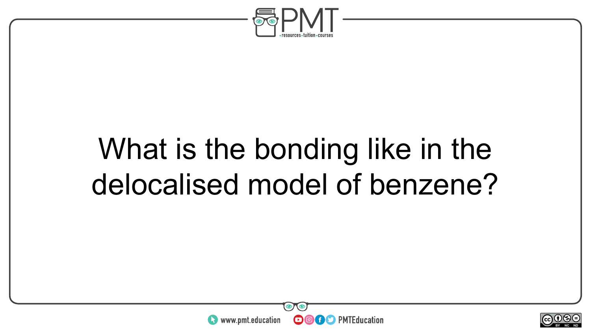

#### What is the bonding like in the delocalised model of benzene?



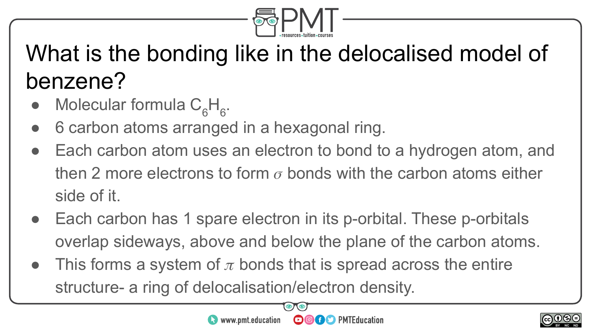

#### What is the bonding like in the delocalised model of benzene?

- Molecular formula  $C_6H_6$ .
- 6 carbon atoms arranged in a hexagonal ring.
- Each carbon atom uses an electron to bond to a hydrogen atom, and then 2 more electrons to form  $\sigma$  bonds with the carbon atoms either side of it.
- Each carbon has 1 spare electron in its p-orbital. These p-orbitals overlap sideways, above and below the plane of the carbon atoms.
- This forms a system of  $\pi$  bonds that is spread across the entire structure- a ring of delocalisation/electron density.



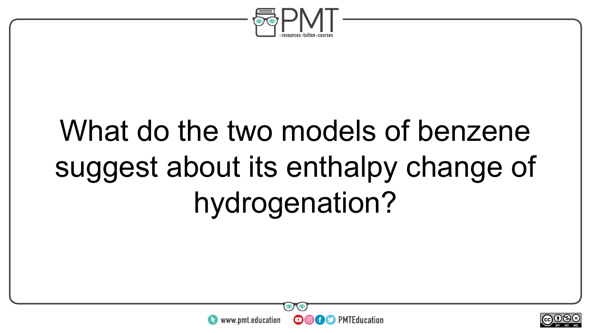

### What do the two models of benzene suggest about its enthalpy change of hydrogenation?